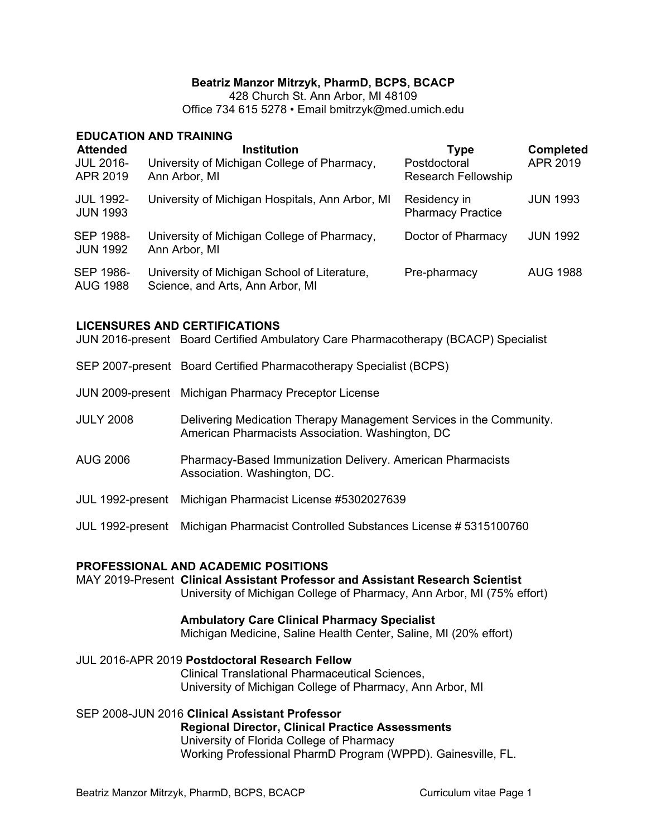## **Beatriz Manzor Mitrzyk, PharmD, BCPS, BCACP**

428 Church St. Ann Arbor, MI 48109 Office 734 615 5278 • Email bmitrzyk@med.umich.edu

#### **EDUCATION AND TRAINING**

| <b>Attended</b><br><b>JUL 2016-</b><br>APR 2019 | <b>Institution</b><br>University of Michigan College of Pharmacy,<br>Ann Arbor, MI | Type<br>Postdoctoral<br><b>Research Fellowship</b> | <b>Completed</b><br>APR 2019 |
|-------------------------------------------------|------------------------------------------------------------------------------------|----------------------------------------------------|------------------------------|
| <b>JUL 1992-</b><br><b>JUN 1993</b>             | University of Michigan Hospitals, Ann Arbor, MI                                    | Residency in<br><b>Pharmacy Practice</b>           | <b>JUN 1993</b>              |
| <b>SEP 1988-</b><br><b>JUN 1992</b>             | University of Michigan College of Pharmacy,<br>Ann Arbor, MI                       | Doctor of Pharmacy                                 | <b>JUN 1992</b>              |
| <b>SEP 1986-</b><br><b>AUG 1988</b>             | University of Michigan School of Literature,<br>Science, and Arts, Ann Arbor, MI   | Pre-pharmacy                                       | <b>AUG 1988</b>              |

#### **LICENSURES AND CERTIFICATIONS**

JUN 2016-present Board Certified Ambulatory Care Pharmacotherapy (BCACP) Specialist

- SEP 2007-present Board Certified Pharmacotherapy Specialist (BCPS)
- JUN 2009-present Michigan Pharmacy Preceptor License
- JULY 2008 Delivering Medication Therapy Management Services in the Community. American Pharmacists Association. Washington, DC
- AUG 2006 Pharmacy-Based Immunization Delivery. American Pharmacists Association. Washington, DC.
- JUL 1992-present Michigan Pharmacist License #5302027639
- JUL 1992-present Michigan Pharmacist Controlled Substances License # 5315100760

#### **PROFESSIONAL AND ACADEMIC POSITIONS**

MAY 2019-Present **Clinical Assistant Professor and Assistant Research Scientist** University of Michigan College of Pharmacy, Ann Arbor, MI (75% effort)

#### **Ambulatory Care Clinical Pharmacy Specialist**

Michigan Medicine, Saline Health Center, Saline, MI (20% effort)

JUL 2016-APR 2019 **Postdoctoral Research Fellow**

Clinical Translational Pharmaceutical Sciences, University of Michigan College of Pharmacy, Ann Arbor, MI

## SEP 2008-JUN 2016 **Clinical Assistant Professor**

**Regional Director, Clinical Practice Assessments**  University of Florida College of Pharmacy Working Professional PharmD Program (WPPD). Gainesville, FL.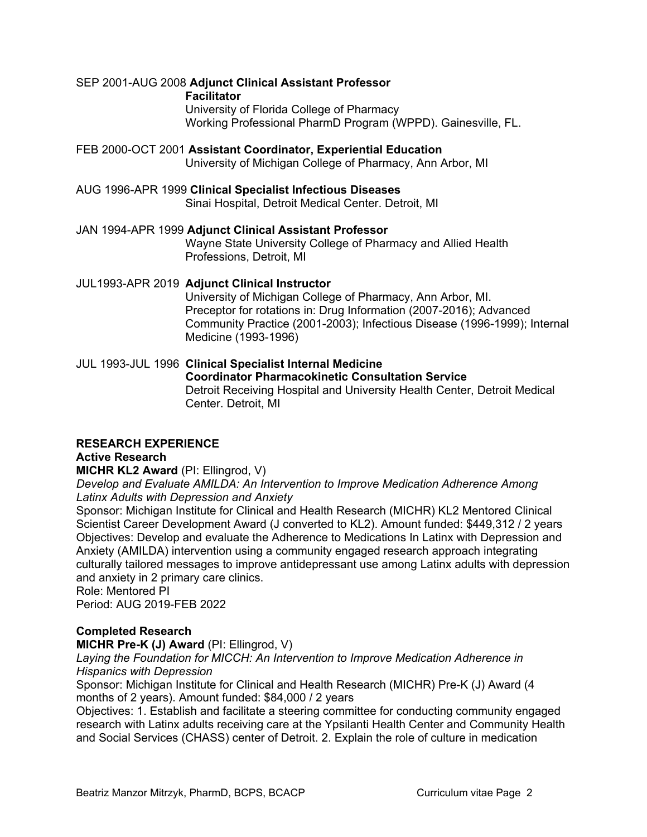## SEP 2001-AUG 2008 **Adjunct Clinical Assistant Professor**

**Facilitator** 

University of Florida College of Pharmacy Working Professional PharmD Program (WPPD). Gainesville, FL.

## FEB 2000-OCT 2001 **Assistant Coordinator, Experiential Education**

University of Michigan College of Pharmacy, Ann Arbor, MI

## AUG 1996-APR 1999 **Clinical Specialist Infectious Diseases**

Sinai Hospital, Detroit Medical Center. Detroit, MI

#### JAN 1994-APR 1999 **Adjunct Clinical Assistant Professor**

Wayne State University College of Pharmacy and Allied Health Professions, Detroit, MI

## JUL1993-APR 2019 **Adjunct Clinical Instructor**

University of Michigan College of Pharmacy, Ann Arbor, MI. Preceptor for rotations in: Drug Information (2007-2016); Advanced Community Practice (2001-2003); Infectious Disease (1996-1999); Internal Medicine (1993-1996)

## JUL 1993-JUL 1996 **Clinical Specialist Internal Medicine**

#### **Coordinator Pharmacokinetic Consultation Service** Detroit Receiving Hospital and University Health Center, Detroit Medical Center. Detroit, MI

## **RESEARCH EXPERIENCE**

## **Active Research**

## **MICHR KL2 Award** (PI: Ellingrod, V)

*Develop and Evaluate AMILDA: An Intervention to Improve Medication Adherence Among Latinx Adults with Depression and Anxiety*

Sponsor: Michigan Institute for Clinical and Health Research (MICHR) KL2 Mentored Clinical Scientist Career Development Award (J converted to KL2). Amount funded: \$449,312 / 2 years Objectives: Develop and evaluate the Adherence to Medications In Latinx with Depression and Anxiety (AMILDA) intervention using a community engaged research approach integrating culturally tailored messages to improve antidepressant use among Latinx adults with depression and anxiety in 2 primary care clinics.

#### Role: Mentored PI

Period: AUG 2019-FEB 2022

## **Completed Research**

**MICHR Pre-K (J) Award** (PI: Ellingrod, V)

*Laying the Foundation for MICCH: An Intervention to Improve Medication Adherence in Hispanics with Depression*

Sponsor: Michigan Institute for Clinical and Health Research (MICHR) Pre-K (J) Award (4 months of 2 years). Amount funded: \$84,000 / 2 years

Objectives: 1. Establish and facilitate a steering committee for conducting community engaged research with Latinx adults receiving care at the Ypsilanti Health Center and Community Health and Social Services (CHASS) center of Detroit. 2. Explain the role of culture in medication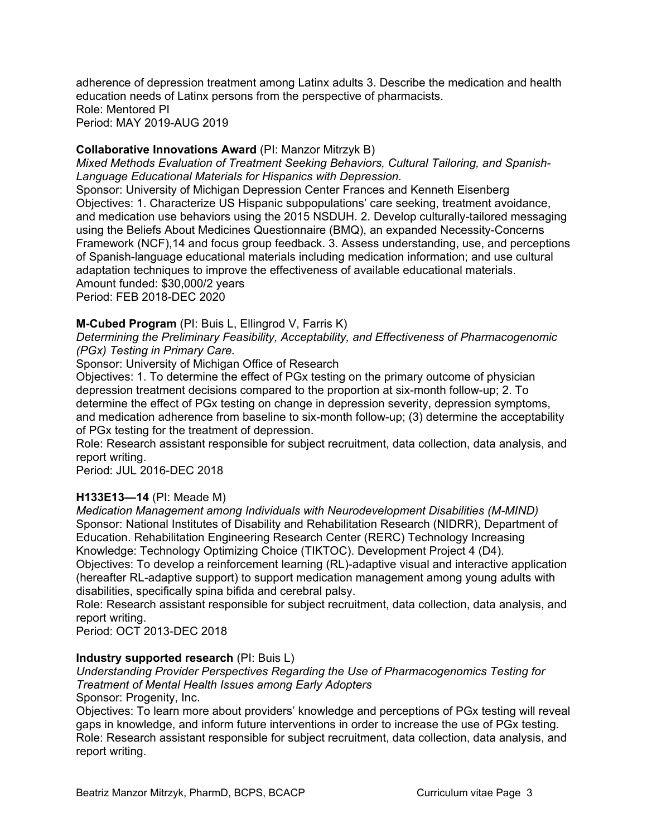adherence of depression treatment among Latinx adults 3. Describe the medication and health education needs of Latinx persons from the perspective of pharmacists. Role: Mentored PI Period: MAY 2019-AUG 2019

## **Collaborative Innovations Award** (PI: Manzor Mitrzyk B)

*Mixed Methods Evaluation of Treatment Seeking Behaviors, Cultural Tailoring, and Spanish-Language Educational Materials for Hispanics with Depression.*

Sponsor: University of Michigan Depression Center Frances and Kenneth Eisenberg Objectives: 1. Characterize US Hispanic subpopulations' care seeking, treatment avoidance, and medication use behaviors using the 2015 NSDUH. 2. Develop culturally-tailored messaging using the Beliefs About Medicines Questionnaire (BMQ), an expanded Necessity-Concerns Framework (NCF),14 and focus group feedback. 3. Assess understanding, use, and perceptions of Spanish-language educational materials including medication information; and use cultural adaptation techniques to improve the effectiveness of available educational materials. Amount funded: \$30,000/2 years Period: FEB 2018-DEC 2020

#### **M-Cubed Program** (PI: Buis L, Ellingrod V, Farris K)

*Determining the Preliminary Feasibility, Acceptability, and Effectiveness of Pharmacogenomic (PGx) Testing in Primary Care.*

Sponsor: University of Michigan Office of Research

Objectives: 1. To determine the effect of PGx testing on the primary outcome of physician depression treatment decisions compared to the proportion at six-month follow-up; 2. To determine the effect of PGx testing on change in depression severity, depression symptoms, and medication adherence from baseline to six-month follow-up; (3) determine the acceptability of PGx testing for the treatment of depression.

Role: Research assistant responsible for subject recruitment, data collection, data analysis, and report writing.

Period: JUL 2016-DEC 2018

#### **H133E13—14** (PI: Meade M)

*Medication Management among Individuals with Neurodevelopment Disabilities (M-MIND)* Sponsor: National Institutes of Disability and Rehabilitation Research (NIDRR), Department of Education. Rehabilitation Engineering Research Center (RERC) Technology Increasing Knowledge: Technology Optimizing Choice (TIKTOC). Development Project 4 (D4). Objectives: To develop a reinforcement learning (RL)-adaptive visual and interactive application (hereafter RL-adaptive support) to support medication management among young adults with disabilities, specifically spina bifida and cerebral palsy.

Role: Research assistant responsible for subject recruitment, data collection, data analysis, and report writing.

Period: OCT 2013-DEC 2018

#### **Industry supported research** (PI: Buis L)

## *Understanding Provider Perspectives Regarding the Use of Pharmacogenomics Testing for Treatment of Mental Health Issues among Early Adopters*

Sponsor: Progenity, Inc.

Objectives: To learn more about providers' knowledge and perceptions of PGx testing will reveal gaps in knowledge, and inform future interventions in order to increase the use of PGx testing. Role: Research assistant responsible for subject recruitment, data collection, data analysis, and report writing.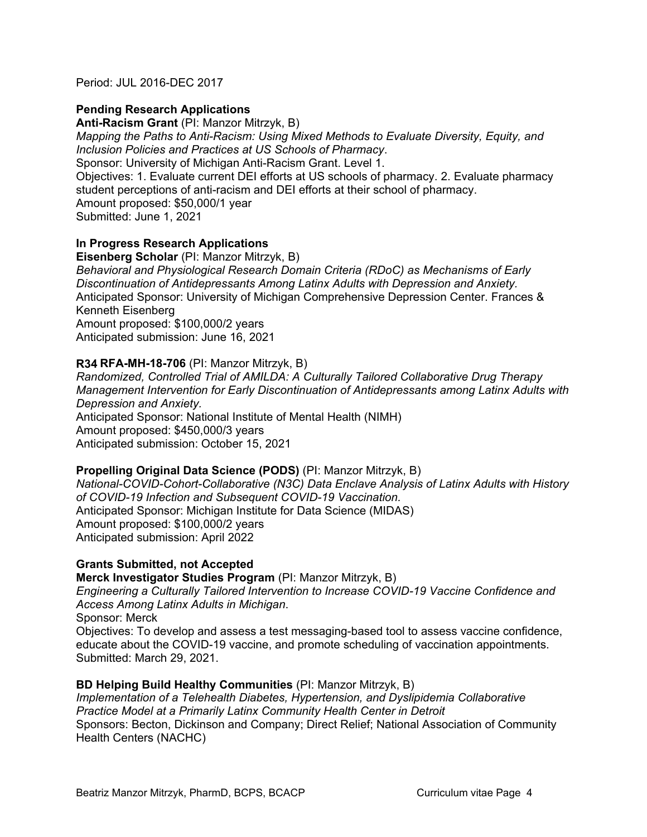Period: JUL 2016-DEC 2017

## **Pending Research Applications**

**Anti-Racism Grant** (PI: Manzor Mitrzyk, B) *Mapping the Paths to Anti-Racism: Using Mixed Methods to Evaluate Diversity, Equity, and Inclusion Policies and Practices at US Schools of Pharmacy*.

Sponsor: University of Michigan Anti-Racism Grant. Level 1.

Objectives: 1. Evaluate current DEI efforts at US schools of pharmacy. 2. Evaluate pharmacy student perceptions of anti-racism and DEI efforts at their school of pharmacy. Amount proposed: \$50,000/1 year Submitted: June 1, 2021

## **In Progress Research Applications**

**Eisenberg Scholar** (PI: Manzor Mitrzyk, B) *Behavioral and Physiological Research Domain Criteria (RDoC) as Mechanisms of Early Discontinuation of Antidepressants Among Latinx Adults with Depression and Anxiety.*  Anticipated Sponsor: University of Michigan Comprehensive Depression Center. Frances & Kenneth Eisenberg Amount proposed: \$100,000/2 years Anticipated submission: June 16, 2021

## **R34 RFA-MH-18-706** (PI: Manzor Mitrzyk, B)

*Randomized, Controlled Trial of AMILDA: A Culturally Tailored Collaborative Drug Therapy Management Intervention for Early Discontinuation of Antidepressants among Latinx Adults with Depression and Anxiety.* Anticipated Sponsor: National Institute of Mental Health (NIMH) Amount proposed: \$450,000/3 years Anticipated submission: October 15, 2021

## **Propelling Original Data Science (PODS)** (PI: Manzor Mitrzyk, B)

*National-COVID-Cohort-Collaborative (N3C) Data Enclave Analysis of Latinx Adults with History of COVID-19 Infection and Subsequent COVID-19 Vaccination.*  Anticipated Sponsor: Michigan Institute for Data Science (MIDAS) Amount proposed: \$100,000/2 years Anticipated submission: April 2022

## **Grants Submitted, not Accepted**

**Merck Investigator Studies Program** (PI: Manzor Mitrzyk, B) *Engineering a Culturally Tailored Intervention to Increase COVID-19 Vaccine Confidence and Access Among Latinx Adults in Michigan*. Sponsor: Merck Objectives: To develop and assess a test messaging-based tool to assess vaccine confidence, educate about the COVID-19 vaccine, and promote scheduling of vaccination appointments. Submitted: March 29, 2021.

## **BD Helping Build Healthy Communities** (PI: Manzor Mitrzyk, B)

*Implementation of a Telehealth Diabetes, Hypertension, and Dyslipidemia Collaborative Practice Model at a Primarily Latinx Community Health Center in Detroit* Sponsors: Becton, Dickinson and Company; Direct Relief; National Association of Community Health Centers (NACHC)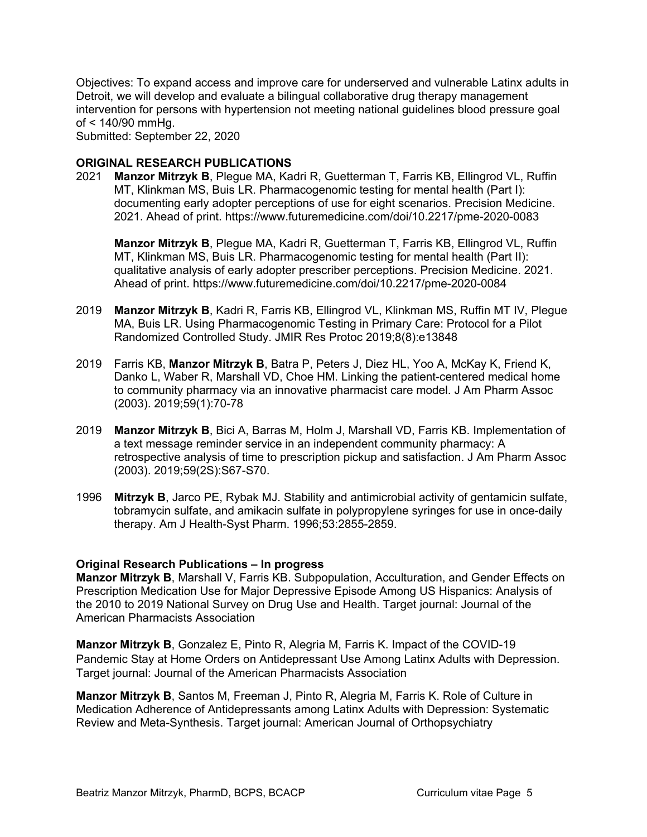Objectives: To expand access and improve care for underserved and vulnerable Latinx adults in Detroit, we will develop and evaluate a bilingual collaborative drug therapy management intervention for persons with hypertension not meeting national guidelines blood pressure goal of < 140/90 mmHg.

Submitted: September 22, 2020

#### **ORIGINAL RESEARCH PUBLICATIONS**

2021 **Manzor Mitrzyk B**, Plegue MA, Kadri R, Guetterman T, Farris KB, Ellingrod VL, Ruffin MT, Klinkman MS, Buis LR. Pharmacogenomic testing for mental health (Part I): documenting early adopter perceptions of use for eight scenarios. Precision Medicine. 2021. Ahead of print. https://www.futuremedicine.com/doi/10.2217/pme-2020-0083

**Manzor Mitrzyk B**, Plegue MA, Kadri R, Guetterman T, Farris KB, Ellingrod VL, Ruffin MT, Klinkman MS, Buis LR. Pharmacogenomic testing for mental health (Part II): qualitative analysis of early adopter prescriber perceptions. Precision Medicine. 2021. Ahead of print. https://www.futuremedicine.com/doi/10.2217/pme-2020-0084

- 2019 **Manzor Mitrzyk B**, Kadri R, Farris KB, Ellingrod VL, Klinkman MS, Ruffin MT IV, Plegue MA, Buis LR. Using Pharmacogenomic Testing in Primary Care: Protocol for a Pilot Randomized Controlled Study. JMIR Res Protoc 2019;8(8):e13848
- 2019 Farris KB, **Manzor Mitrzyk B**, Batra P, Peters J, Diez HL, Yoo A, McKay K, Friend K, Danko L, Waber R, Marshall VD, Choe HM. Linking the patient-centered medical home to community pharmacy via an innovative pharmacist care model. J Am Pharm Assoc (2003). 2019;59(1):70-78
- 2019 **Manzor Mitrzyk B**, Bici A, Barras M, Holm J, Marshall VD, Farris KB. Implementation of a text message reminder service in an independent community pharmacy: A retrospective analysis of time to prescription pickup and satisfaction. J Am Pharm Assoc (2003). 2019;59(2S):S67-S70.
- 1996 **Mitrzyk B**, Jarco PE, Rybak MJ. Stability and antimicrobial activity of gentamicin sulfate, tobramycin sulfate, and amikacin sulfate in polypropylene syringes for use in once-daily therapy. Am J Health-Syst Pharm. 1996;53:2855-2859.

#### **Original Research Publications – In progress**

**Manzor Mitrzyk B**, Marshall V, Farris KB. Subpopulation, Acculturation, and Gender Effects on Prescription Medication Use for Major Depressive Episode Among US Hispanics: Analysis of the 2010 to 2019 National Survey on Drug Use and Health. Target journal: Journal of the American Pharmacists Association

**Manzor Mitrzyk B**, Gonzalez E, Pinto R, Alegria M, Farris K. Impact of the COVID-19 Pandemic Stay at Home Orders on Antidepressant Use Among Latinx Adults with Depression. Target journal: Journal of the American Pharmacists Association

**Manzor Mitrzyk B**, Santos M, Freeman J, Pinto R, Alegria M, Farris K. Role of Culture in Medication Adherence of Antidepressants among Latinx Adults with Depression: Systematic Review and Meta-Synthesis. Target journal: American Journal of Orthopsychiatry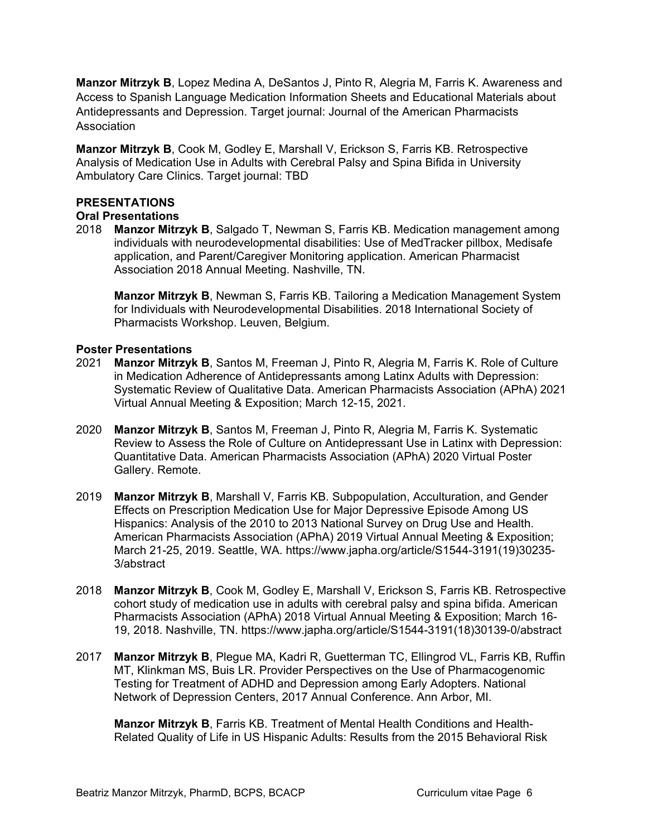**Manzor Mitrzyk B**, Lopez Medina A, DeSantos J, Pinto R, Alegria M, Farris K. Awareness and Access to Spanish Language Medication Information Sheets and Educational Materials about Antidepressants and Depression. Target journal: Journal of the American Pharmacists **Association** 

**Manzor Mitrzyk B**, Cook M, Godley E, Marshall V, Erickson S, Farris KB. Retrospective Analysis of Medication Use in Adults with Cerebral Palsy and Spina Bifida in University Ambulatory Care Clinics. Target journal: TBD

#### **PRESENTATIONS**

#### **Oral Presentations**

2018 **Manzor Mitrzyk B**, Salgado T, Newman S, Farris KB. Medication management among individuals with neurodevelopmental disabilities: Use of MedTracker pillbox, Medisafe application, and Parent/Caregiver Monitoring application. American Pharmacist Association 2018 Annual Meeting. Nashville, TN.

**Manzor Mitrzyk B**, Newman S, Farris KB. Tailoring a Medication Management System for Individuals with Neurodevelopmental Disabilities. 2018 International Society of Pharmacists Workshop. Leuven, Belgium.

#### **Poster Presentations**

- 2021 **Manzor Mitrzyk B**, Santos M, Freeman J, Pinto R, Alegria M, Farris K. Role of Culture in Medication Adherence of Antidepressants among Latinx Adults with Depression: Systematic Review of Qualitative Data. American Pharmacists Association (APhA) 2021 Virtual Annual Meeting & Exposition; March 12-15, 2021.
- 2020 **Manzor Mitrzyk B**, Santos M, Freeman J, Pinto R, Alegria M, Farris K. Systematic Review to Assess the Role of Culture on Antidepressant Use in Latinx with Depression: Quantitative Data. American Pharmacists Association (APhA) 2020 Virtual Poster Gallery. Remote.
- 2019 **Manzor Mitrzyk B**, Marshall V, Farris KB. Subpopulation, Acculturation, and Gender Effects on Prescription Medication Use for Major Depressive Episode Among US Hispanics: Analysis of the 2010 to 2013 National Survey on Drug Use and Health. American Pharmacists Association (APhA) 2019 Virtual Annual Meeting & Exposition; March 21-25, 2019. Seattle, WA. https://www.japha.org/article/S1544-3191(19)30235- 3/abstract
- 2018 **Manzor Mitrzyk B**, Cook M, Godley E, Marshall V, Erickson S, Farris KB. Retrospective cohort study of medication use in adults with cerebral palsy and spina bifida. American Pharmacists Association (APhA) 2018 Virtual Annual Meeting & Exposition; March 16- 19, 2018. Nashville, TN. https://www.japha.org/article/S1544-3191(18)30139-0/abstract
- 2017 **Manzor Mitrzyk B**, Plegue MA, Kadri R, Guetterman TC, Ellingrod VL, Farris KB, Ruffin MT, Klinkman MS, Buis LR. Provider Perspectives on the Use of Pharmacogenomic Testing for Treatment of ADHD and Depression among Early Adopters. National Network of Depression Centers, 2017 Annual Conference. Ann Arbor, MI.

**Manzor Mitrzyk B**, Farris KB. Treatment of Mental Health Conditions and Health-Related Quality of Life in US Hispanic Adults: Results from the 2015 Behavioral Risk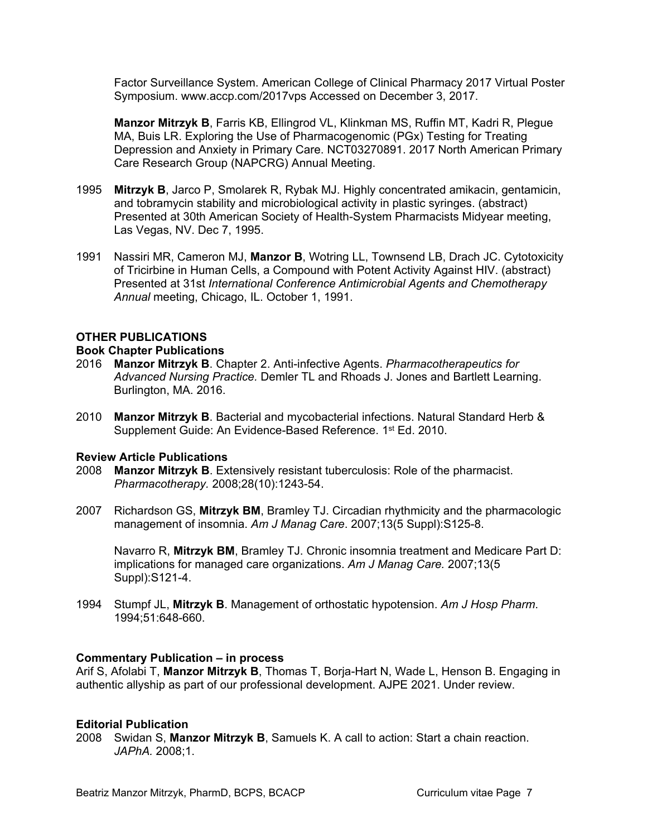Factor Surveillance System. American College of Clinical Pharmacy 2017 Virtual Poster Symposium. www.accp.com/2017vps Accessed on December 3, 2017.

**Manzor Mitrzyk B**, Farris KB, Ellingrod VL, Klinkman MS, Ruffin MT, Kadri R, Plegue MA, Buis LR. Exploring the Use of Pharmacogenomic (PGx) Testing for Treating Depression and Anxiety in Primary Care. NCT03270891. 2017 North American Primary Care Research Group (NAPCRG) Annual Meeting.

- 1995 **Mitrzyk B**, Jarco P, Smolarek R, Rybak MJ. Highly concentrated amikacin, gentamicin, and tobramycin stability and microbiological activity in plastic syringes. (abstract) Presented at 30th American Society of Health-System Pharmacists Midyear meeting, Las Vegas, NV. Dec 7, 1995.
- 1991 Nassiri MR, Cameron MJ, **Manzor B**, Wotring LL, Townsend LB, Drach JC. Cytotoxicity of Tricirbine in Human Cells, a Compound with Potent Activity Against HIV. (abstract) Presented at 31st *International Conference Antimicrobial Agents and Chemotherapy Annual* meeting, Chicago, IL. October 1, 1991.

#### **OTHER PUBLICATIONS**

#### **Book Chapter Publications**

- 2016 **Manzor Mitrzyk B**. Chapter 2. Anti-infective Agents. *Pharmacotherapeutics for Advanced Nursing Practice.* Demler TL and Rhoads J. Jones and Bartlett Learning. Burlington, MA. 2016.
- 2010 **Manzor Mitrzyk B**. Bacterial and mycobacterial infections. Natural Standard Herb & Supplement Guide: An Evidence-Based Reference. 1<sup>st</sup> Ed. 2010.

#### **Review Article Publications**

- 2008 **Manzor Mitrzyk B**. Extensively resistant tuberculosis: Role of the pharmacist. *Pharmacotherapy.* 2008;28(10):1243-54.
- 2007 Richardson GS, **Mitrzyk BM**, Bramley TJ. Circadian rhythmicity and the pharmacologic management of insomnia. *Am J Manag Care*. 2007;13(5 Suppl):S125-8.

Navarro R, **Mitrzyk BM**, Bramley TJ. Chronic insomnia treatment and Medicare Part D: implications for managed care organizations. *Am J Manag Care.* 2007;13(5 Suppl):S121-4.

1994 Stumpf JL, **Mitrzyk B**. Management of orthostatic hypotension. *Am J Hosp Pharm*. 1994;51:648-660.

#### **Commentary Publication – in process**

Arif S, Afolabi T, **Manzor Mitrzyk B**, Thomas T, Borja-Hart N, Wade L, Henson B. Engaging in authentic allyship as part of our professional development. AJPE 2021. Under review.

#### **Editorial Publication**

2008 Swidan S, **Manzor Mitrzyk B**, Samuels K. A call to action: Start a chain reaction. *JAPhA.* 2008;1.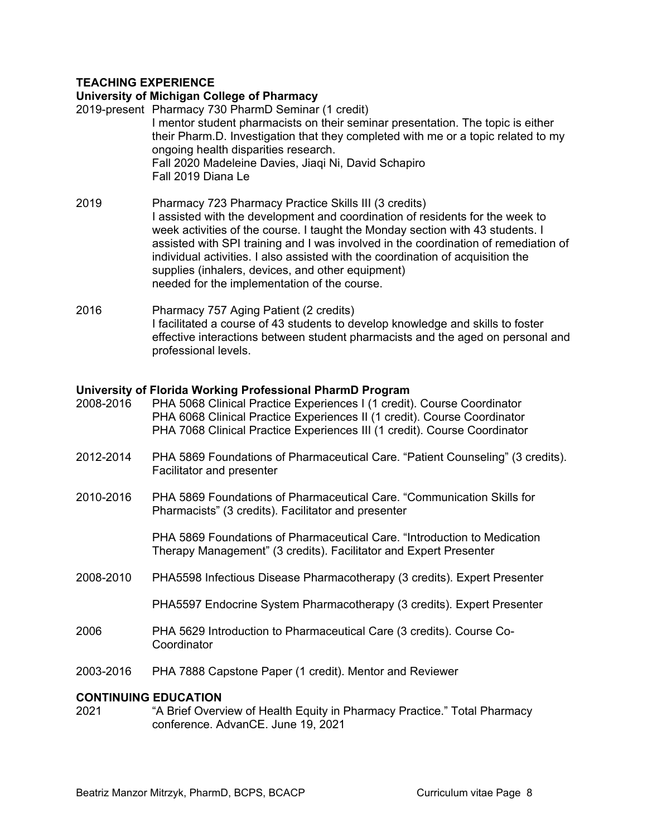## **TEACHING EXPERIENCE**

#### **University of Michigan College of Pharmacy**

- 2019-present Pharmacy 730 PharmD Seminar (1 credit) I mentor student pharmacists on their seminar presentation. The topic is either their Pharm.D. Investigation that they completed with me or a topic related to my ongoing health disparities research. Fall 2020 Madeleine Davies, Jiaqi Ni, David Schapiro Fall 2019 Diana Le 2019 Pharmacy 723 Pharmacy Practice Skills III (3 credits)
- I assisted with the development and coordination of residents for the week to week activities of the course. I taught the Monday section with 43 students. I assisted with SPI training and I was involved in the coordination of remediation of individual activities. I also assisted with the coordination of acquisition the supplies (inhalers, devices, and other equipment) needed for the implementation of the course.
- 2016 Pharmacy 757 Aging Patient (2 credits) I facilitated a course of 43 students to develop knowledge and skills to foster effective interactions between student pharmacists and the aged on personal and professional levels.

#### **University of Florida Working Professional PharmD Program**

| 2008-2016 | PHA 5068 Clinical Practice Experiences I (1 credit). Course Coordinator<br>PHA 6068 Clinical Practice Experiences II (1 credit). Course Coordinator<br>PHA 7068 Clinical Practice Experiences III (1 credit). Course Coordinator |
|-----------|----------------------------------------------------------------------------------------------------------------------------------------------------------------------------------------------------------------------------------|
| 2012-2014 | PHA 5869 Foundations of Pharmaceutical Care. "Patient Counseling" (3 credits).<br>Facilitator and presenter                                                                                                                      |
| 2010-2016 | PHA 5869 Foundations of Pharmaceutical Care. "Communication Skills for<br>Pharmacists" (3 credits). Facilitator and presenter                                                                                                    |
|           | PHA 5869 Foundations of Pharmaceutical Care. "Introduction to Medication<br>Therapy Management" (3 credits). Facilitator and Expert Presenter                                                                                    |
| 2008-2010 | PHA5598 Infectious Disease Pharmacotherapy (3 credits). Expert Presenter                                                                                                                                                         |
|           | PHA5597 Endocrine System Pharmacotherapy (3 credits). Expert Presenter                                                                                                                                                           |
| 2006      | PHA 5629 Introduction to Pharmaceutical Care (3 credits). Course Co-<br>Coordinator                                                                                                                                              |
| 2003-2016 | PHA 7888 Capstone Paper (1 credit). Mentor and Reviewer                                                                                                                                                                          |
| 2021      | <b>CONTINUING EDUCATION</b><br>"A Brief Overview of Health Equity in Pharmacy Practice." Total Pharmacy<br>conference. AdvanCE. June 19, 2021                                                                                    |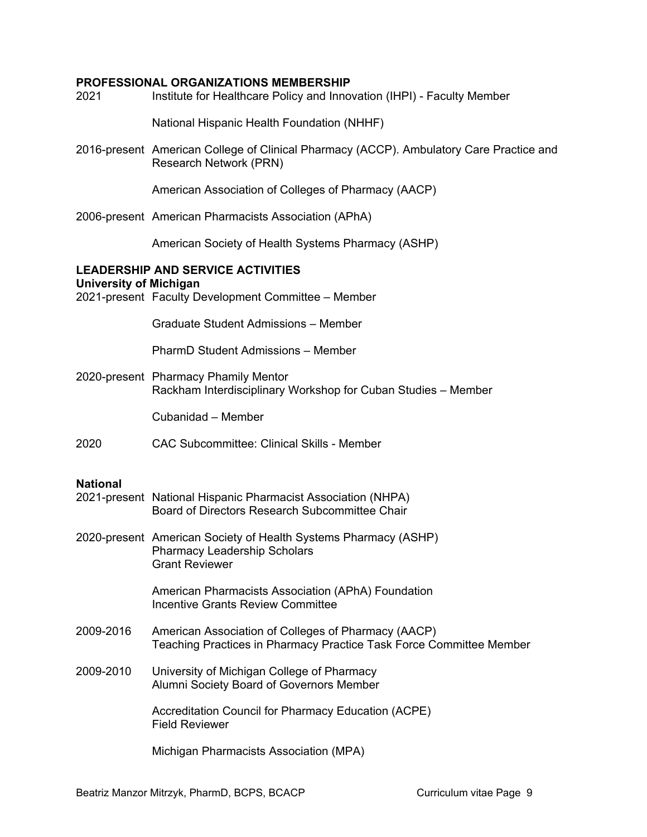#### **PROFESSIONAL ORGANIZATIONS MEMBERSHIP**

2021 Institute for Healthcare Policy and Innovation (IHPI) - Faculty Member National Hispanic Health Foundation (NHHF) 2016-present American College of Clinical Pharmacy (ACCP). Ambulatory Care Practice and Research Network (PRN) American Association of Colleges of Pharmacy (AACP) 2006-present American Pharmacists Association (APhA) American Society of Health Systems Pharmacy (ASHP) **LEADERSHIP AND SERVICE ACTIVITIES University of Michigan** 2021-present Faculty Development Committee – Member Graduate Student Admissions – Member PharmD Student Admissions – Member 2020-present Pharmacy Phamily Mentor Rackham Interdisciplinary Workshop for Cuban Studies – Member Cubanidad – Member 2020 CAC Subcommittee: Clinical Skills - Member **National** 2021-present National Hispanic Pharmacist Association (NHPA) Board of Directors Research Subcommittee Chair 2020-present American Society of Health Systems Pharmacy (ASHP) Pharmacy Leadership Scholars Grant Reviewer American Pharmacists Association (APhA) Foundation Incentive Grants Review Committee 2009-2016 American Association of Colleges of Pharmacy (AACP) Teaching Practices in Pharmacy Practice Task Force Committee Member 2009-2010 University of Michigan College of Pharmacy Alumni Society Board of Governors Member Accreditation Council for Pharmacy Education (ACPE) Field Reviewer

Michigan Pharmacists Association (MPA)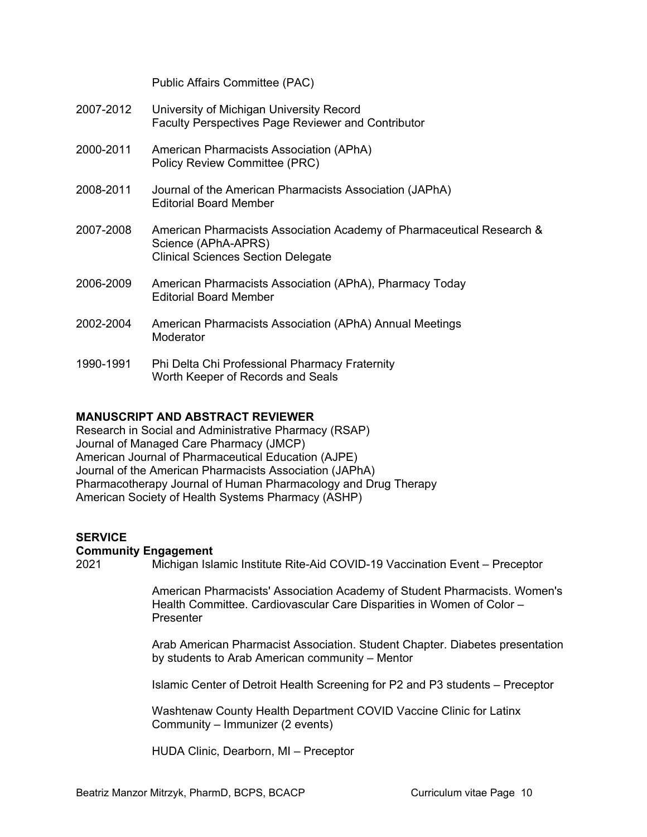Public Affairs Committee (PAC)

| 2007-2012 | University of Michigan University Record<br><b>Faculty Perspectives Page Reviewer and Contributor</b>                                     |
|-----------|-------------------------------------------------------------------------------------------------------------------------------------------|
| 2000-2011 | American Pharmacists Association (APhA)<br>Policy Review Committee (PRC)                                                                  |
| 2008-2011 | Journal of the American Pharmacists Association (JAPhA)<br>Editorial Board Member                                                         |
| 2007-2008 | American Pharmacists Association Academy of Pharmaceutical Research &<br>Science (APhA-APRS)<br><b>Clinical Sciences Section Delegate</b> |
| 2006-2009 | American Pharmacists Association (APhA), Pharmacy Today<br><b>Editorial Board Member</b>                                                  |
| 2002-2004 | American Pharmacists Association (APhA) Annual Meetings<br>Moderator                                                                      |
| 1990-1991 | Phi Delta Chi Professional Pharmacy Fraternity<br>Worth Keeper of Records and Seals                                                       |

## **MANUSCRIPT AND ABSTRACT REVIEWER**

Research in Social and Administrative Pharmacy (RSAP) Journal of Managed Care Pharmacy (JMCP) American Journal of Pharmaceutical Education (AJPE) Journal of the American Pharmacists Association (JAPhA) Pharmacotherapy Journal of Human Pharmacology and Drug Therapy American Society of Health Systems Pharmacy (ASHP)

## **SERVICE**

#### **Community Engagement**

2021 Michigan Islamic Institute Rite-Aid COVID-19 Vaccination Event – Preceptor

American Pharmacists' Association Academy of Student Pharmacists. Women's Health Committee. Cardiovascular Care Disparities in Women of Color – Presenter

Arab American Pharmacist Association. Student Chapter. Diabetes presentation by students to Arab American community – Mentor

Islamic Center of Detroit Health Screening for P2 and P3 students – Preceptor

Washtenaw County Health Department COVID Vaccine Clinic for Latinx Community – Immunizer (2 events)

HUDA Clinic, Dearborn, MI – Preceptor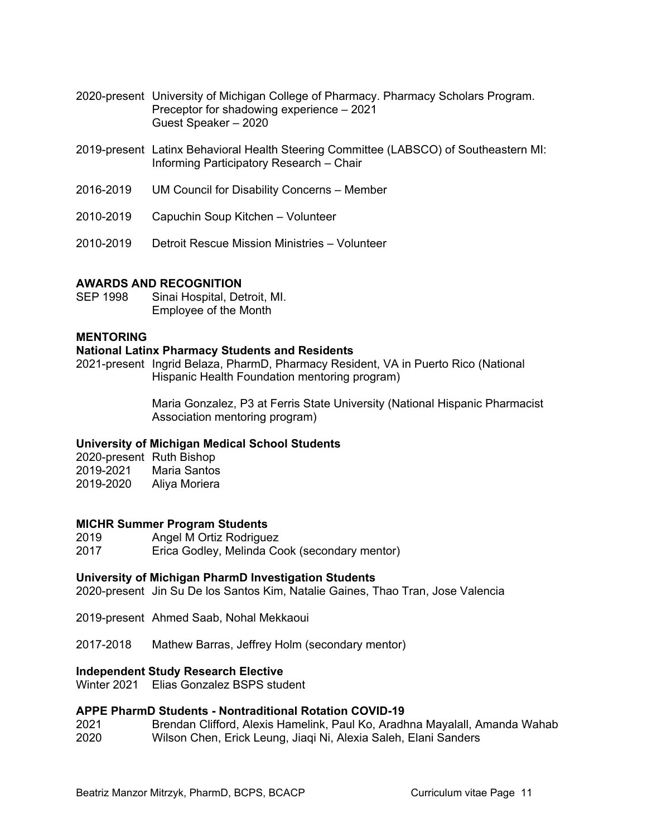- 2020-present University of Michigan College of Pharmacy. Pharmacy Scholars Program. Preceptor for shadowing experience – 2021 Guest Speaker – 2020
- 2019-present Latinx Behavioral Health Steering Committee (LABSCO) of Southeastern MI: Informing Participatory Research – Chair
- 2016-2019 UM Council for Disability Concerns Member
- 2010-2019 Capuchin Soup Kitchen Volunteer
- 2010-2019 Detroit Rescue Mission Ministries Volunteer

#### **AWARDS AND RECOGNITION**

SEP 1998 Sinai Hospital, Detroit, MI. Employee of the Month

#### **MENTORING**

#### **National Latinx Pharmacy Students and Residents**

2021-present Ingrid Belaza, PharmD, Pharmacy Resident, VA in Puerto Rico (National Hispanic Health Foundation mentoring program)

> Maria Gonzalez, P3 at Ferris State University (National Hispanic Pharmacist Association mentoring program)

#### **University of Michigan Medical School Students**

| 2020-present Ruth Bishop |               |
|--------------------------|---------------|
| 2019-2021                | Maria Santos  |
| 2019-2020                | Aliya Moriera |

## **MICHR Summer Program Students**

Angel M Ortiz Rodriguez

2017 Erica Godley, Melinda Cook (secondary mentor)

#### **University of Michigan PharmD Investigation Students**

2020-present Jin Su De los Santos Kim, Natalie Gaines, Thao Tran, Jose Valencia

- 2019-present Ahmed Saab, Nohal Mekkaoui
- 2017-2018 Mathew Barras, Jeffrey Holm (secondary mentor)

#### **Independent Study Research Elective**

Winter 2021 Elias Gonzalez BSPS student

## **APPE PharmD Students - Nontraditional Rotation COVID-19**

2021 Brendan Clifford, Alexis Hamelink, Paul Ko, Aradhna Mayalall, Amanda Wahab 2020 Wilson Chen, Erick Leung, Jiaqi Ni, Alexia Saleh, Elani Sanders